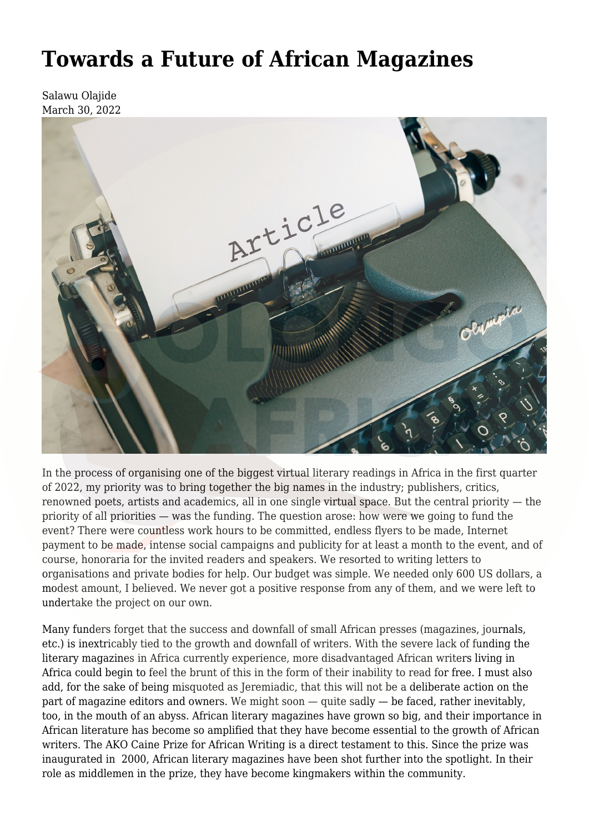## **[Towards a Future of African Magazines](https://olongoafrica.com/towards-a-future-of-african-magazines/)**

Salawu Olajide March 30, 2022



In the process of organising one of the biggest virtual literary readings in Africa in the first quarter of 2022, my priority was to bring together the big names in the industry; publishers, critics, renowned poets, artists and academics, all in one single virtual space. But the central priority — the priority of all priorities — was the funding. The question arose: how were we going to fund the event? There were countless work hours to be committed, endless flyers to be made, Internet payment to be made, intense social campaigns and publicity for at least a month to the event, and of course, honoraria for the invited readers and speakers. We resorted to writing letters to organisations and private bodies for help. Our budget was simple. We needed only 600 US dollars, a modest amount, I believed. We never got a positive response from any of them, and we were left to undertake the project on our own.

Many funders forget that the success and downfall of small African presses (magazines, journals, etc.) is inextricably tied to the growth and downfall of writers. With the severe lack of funding the literary magazines in Africa currently experience, more disadvantaged African writers living in Africa could begin to feel the brunt of this in the form of their inability to read for free. I must also add, for the sake of being misquoted as Jeremiadic, that this will not be a deliberate action on the part of magazine editors and owners. We might soon — quite sadly — be faced, rather inevitably, too, in the mouth of an abyss. African literary magazines have grown so big, and their importance in African literature has become so amplified that they have become essential to the growth of African writers. [The AKO Caine Prize for African Writing](http://www.caineprize.com/) is a direct testament to this. Since the prize was inaugurated in 2000, African literary magazines have been shot further into the spotlight. In their role as middlemen in the prize, they have become kingmakers within the community.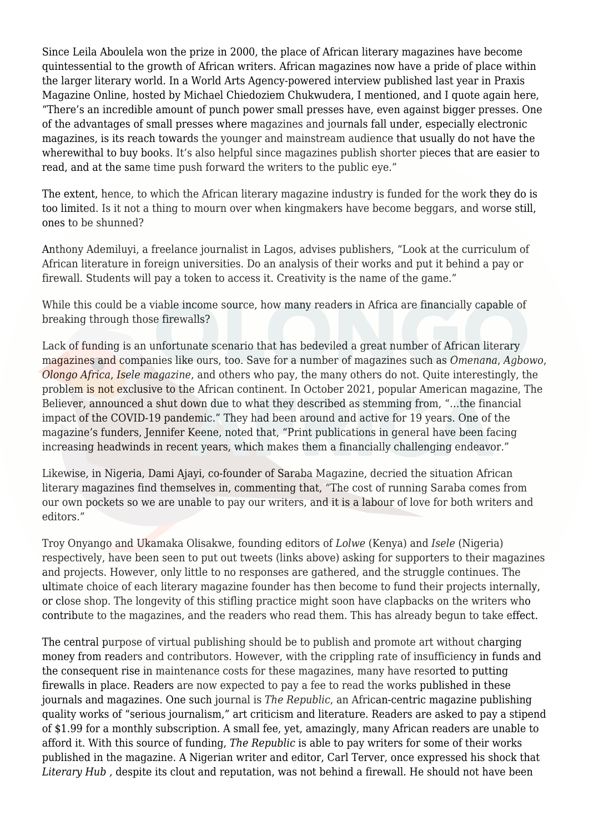Since Leila Aboulela won the prize in 2000, the place of African literary magazines have become quintessential to the growth of African writers. African magazines now have a pride of place within the larger literary world. In a World Arts Agency-powered [interview](https://www.praxismagonline.com/in-conversation-with-nzube-nlebedim-by-michael-chiedoziem-chukwudera/) published last year in Praxis Magazine Online, hosted by Michael Chiedoziem Chukwudera, I mentioned, and I quote again here, "There's an incredible amount of punch power small presses have, even against bigger presses. One of the advantages of small presses where magazines and journals fall under, especially electronic magazines, is its reach towards the younger and mainstream audience that usually do not have the wherewithal to buy books. It's also helpful since magazines publish shorter pieces that are easier to read, and at the same time push forward the writers to the public eye."

The extent, hence, to which the African literary magazine industry is funded for the work they do is too limited. Is it not a thing to mourn over when kingmakers have become beggars, and worse still, ones to be shunned?

Anthony Ademiluyi, a freelance journalist in Lagos, advises publishers, "Look at the curriculum of African literature in foreign universities. Do an analysis of their works and put it behind a pay or firewall. Students will pay a token to access it. Creativity is the name of the game."

While this could be a viable income source, how many readers in Africa are financially capable of breaking through those firewalls?

Lack of funding is an unfortunate scenario that has bedeviled a great number of African literary magazines and companies like ours, too. Save for a number of magazines such as *Omenana*, *Agbowo*, *Olongo Africa*, *Isele magazine*, and others who pay, the many others do not. Quite interestingly, the problem is not exclusive to the African continent. In October 2021, popular American magazine, The Believer, [announced](https://www.unlv.edu/announcement/black-mountain-institute-realigning-outreach-initiatives) a shut down due to what they described as stemming from, "…the financial impact of the COVID-19 pandemic." They had been around and active for 19 years. One of the magazine's funders, Jennifer Keene, noted that, "Print publications in general have been facing increasing headwinds in recent years, which makes them a financially challenging endeavor."

Likewise, in Nigeria, Dami Ajayi, co-founder of Saraba Magazine, decried the situation African literary magazines find themselves in, commenting that, "The cost of running Saraba comes from our own pockets so we are unable to pay our writers, and it is a labour of love for both writers and editors."

Troy Onyango and Ukamaka Olisakwe, founding editors of *[Lolwe](https://twitter.com/TroyOnyango/status/1491770265663062022?t=Vf1mDnRUjMwW1ULP0idS1Q&s=19)* (Kenya) and *[Isele](https://twitter.com/MsOlisakwe/status/1455196203927355395?t=wxzlraYgQsEBSBn7s4tJew&s=19)* (Nigeria) respectively, have been seen to put out tweets (links above) asking for supporters to their magazines and projects. However, only little to no responses are gathered, and the struggle continues. The ultimate choice of each literary magazine founder has then become to fund their projects internally, or close shop. The longevity of this stifling practice might soon have clapbacks on the writers who contribute to the magazines, and the readers who read them. This has already begun to take effect.

The central purpose of virtual publishing should be to publish and promote art without charging money from readers and contributors. However, with the crippling rate of insufficiency in funds and the consequent rise in maintenance costs for these magazines, many have resorted to putting firewalls in place. Readers are now expected to pay a fee to read the works published in these journals and magazines. One such journal is *[The](https://republic.com.ng/#) [Republic](https://republic.com.ng/#)*, an African-centric magazine publishing quality works of "serious journalism," art criticism and literature. Readers are asked to pay a stipend of \$1.99 for a monthly subscription. A small fee, yet, amazingly, many African readers are unable to afford it. With this source of funding, *The Republic* is able to pay writers for some of their works published in the magazine. A Nigerian writer and editor, Carl Terver, once expressed his shock that *Literary Hub, despite its clout and reputation, was not behind a firewall. He should not have been*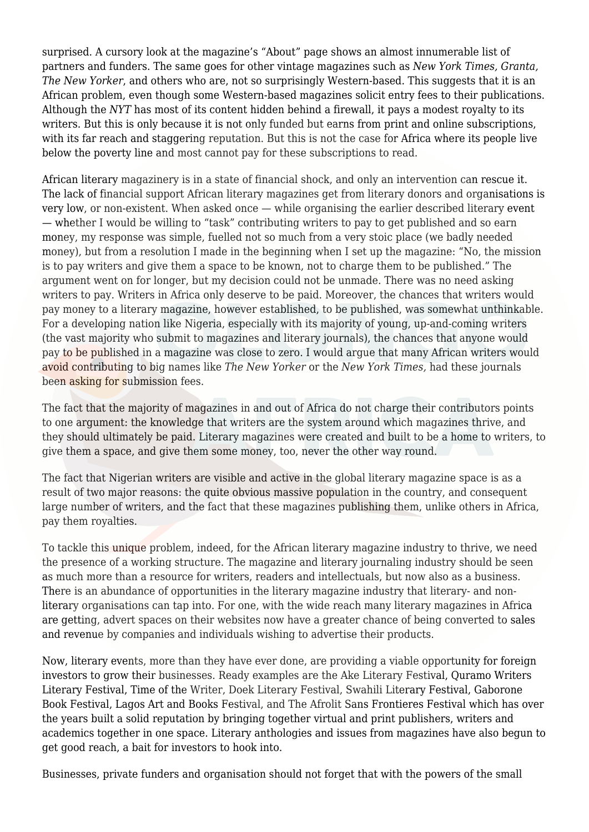surprised. A cursory look at the magazine's "About" page shows an almost innumerable list of partners and funders. The same goes for other vintage magazines such as *New York Times, Granta, The New Yorker*, and others who are, not so surprisingly Western-based. This suggests that it is an African problem, even though some Western-based magazines solicit entry fees to their publications. Although the *NYT* has most of its content hidden behind a firewall, it pays a modest royalty to its writers. But this is only because it is not only funded but earns from print and online subscriptions, with its far reach and staggering reputation. But this is not the case for Africa where its people live below the poverty line and most cannot pay for these subscriptions to read.

African literary magazinery is in a state of financial shock, and only an intervention can rescue it. The lack of financial support African literary magazines get from literary donors and organisations is very low, or non-existent. When asked once — while organising the earlier described literary event — whether I would be willing to "task" contributing writers to pay to get published and so earn money, my response was simple, fuelled not so much from a very stoic place (we badly needed money), but from a resolution I made in the beginning when I set up the magazine: "No, the mission is to pay writers and give them a space to be known, not to charge them to be published." The argument went on for longer, but my decision could not be unmade. There was no need asking writers to pay. Writers in Africa only deserve to be paid. Moreover, the chances that writers would pay money to a literary magazine, however established, to be published, was somewhat unthinkable. For a developing nation like Nigeria, especially with its majority of young, up-and-coming writers (the vast majority who submit to magazines and literary journals), the chances that anyone would pay to be published in a magazine was close to zero. I would argue that many African writers would avoid contributing to big names like *The New Yorker* or the *New York Times,* had these journals been asking for submission fees.

The fact that the majority of magazines in and out of Africa do not charge their contributors points to one argument: the knowledge that writers are the system around which magazines thrive, and they should ultimately be paid. Literary magazines were created and built to be a home to writers, to give them a space, and give them some money, too, never the other way round.

The fact that Nigerian writers are visible and active in the global literary magazine space is as a result of two major reasons: the quite obvious massive population in the country, and consequent large number of writers, and the fact that these magazines publishing them, unlike others in Africa, pay them royalties.

To tackle this unique problem, indeed, for the African literary magazine industry to thrive, we need the presence of a working structure. The magazine and literary journaling industry should be seen as much more than a resource for writers, readers and intellectuals, but now also as a business. There is an abundance of opportunities in the literary magazine industry that literary- and nonliterary organisations can tap into. For one, with the wide reach many literary magazines in Africa are getting, advert spaces on their websites now have a greater chance of being converted to sales and revenue by companies and individuals wishing to advertise their products.

Now, literary events, more than they have ever done, are providing a viable opportunity for foreign investors to grow their businesses. Ready examples are the Ake Literary Festival, Quramo Writers Literary Festival, Time of the Writer, Doek Literary Festival, Swahili Literary Festival, Gaborone Book Festival, Lagos Art and Books Festival, and The Afrolit Sans Frontieres Festival which has over the years built a solid reputation by bringing together virtual and print publishers, writers and academics together in one space. Literary anthologies and issues from magazines have also begun to get good reach, a bait for investors to hook into.

Businesses, private funders and organisation should not forget that with the powers of the small